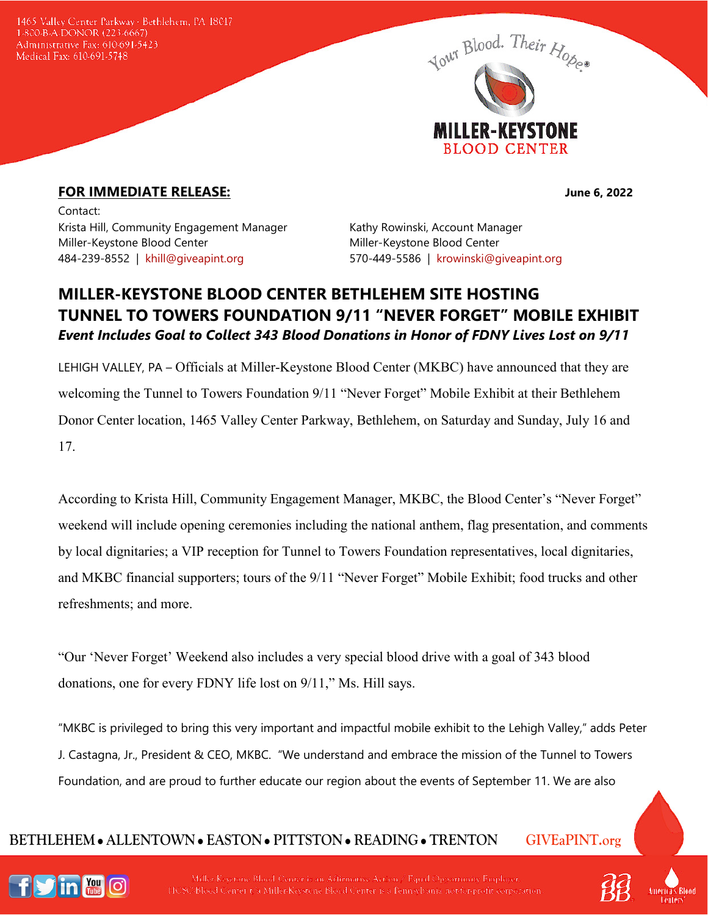1465 Valley Center Parkway · Bethlehem, PA 18017 1-800-B-A-DONOR (223-6667) Administrative Fax: 610-691-5423 Medical Fax: 610-691-5748



## **FOR IMMEDIATE RELEASE:** June 6, 2022

Contact: Krista Hill, Community Engagement Manager Kathy Rowinski, Account Manager Miller-Keystone Blood Center The Miller-Keystone Blood Center 484-239-8552 | [khill@giveapint.org](mailto:khill@giveapint.org) 570-449-5586 | [krowinski@giveapint.org](mailto:krowinski@giveapint.org)

## **MILLER-KEYSTONE BLOOD CENTER BETHLEHEM SITE HOSTING TUNNEL TO TOWERS FOUNDATION 9/11 "NEVER FORGET" MOBILE EXHIBIT** *Event Includes Goal to Collect 343 Blood Donations in Honor of FDNY Lives Lost on 9/11*

LEHIGH VALLEY, PA – Officials at Miller-Keystone Blood Center (MKBC) have announced that they are welcoming the Tunnel to Towers Foundation 9/11 "Never Forget" Mobile Exhibit at their Bethlehem Donor Center location, 1465 Valley Center Parkway, Bethlehem, on Saturday and Sunday, July 16 and 17.

According to Krista Hill, Community Engagement Manager, MKBC, the Blood Center's "Never Forget" weekend will include opening ceremonies including the national anthem, flag presentation, and comments by local dignitaries; a VIP reception for Tunnel to Towers Foundation representatives, local dignitaries, and MKBC financial supporters; tours of the 9/11 "Never Forget" Mobile Exhibit; food trucks and other refreshments; and more.

"Our 'Never Forget' Weekend also includes a very special blood drive with a goal of 343 blood donations, one for every FDNY life lost on 9/11," Ms. Hill says.

"MKBC is privileged to bring this very important and impactful mobile exhibit to the Lehigh Valley," adds Peter J. Castagna, Jr., President & CEO, MKBC. "We understand and embrace the mission of the Tunnel to Towers Foundation, and are proud to further educate our region about the events of September 11. We are also

## **BETHLEHEM ALLENTOWN EASTON PITTSTON READING TRENTON GIVEaPINT.org**



Miller-Keystone Blood Center is an Affirmative Action / Equal Opportunity Employer. HCSC/Blood Center t/a Miller-Keystene Blood Center is a Pennsylvania not-for-profit corporation